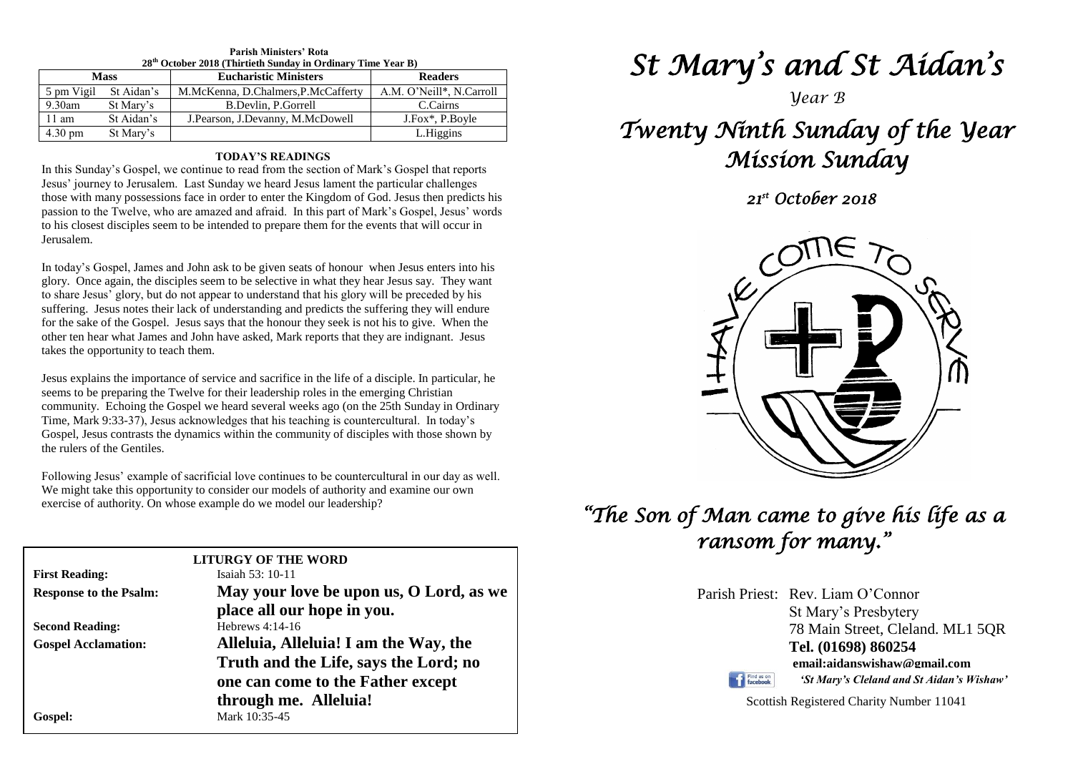| 28 <sup>th</sup> October 2018 (Thirtieth Sunday in Ordinary Time Year B) |            |                                     |                          |  |  |  |
|--------------------------------------------------------------------------|------------|-------------------------------------|--------------------------|--|--|--|
| <b>Mass</b>                                                              |            | <b>Eucharistic Ministers</b>        | <b>Readers</b>           |  |  |  |
| 5 pm Vigil                                                               | St Aidan's | M.McKenna, D.Chalmers, P.McCafferty | A.M. O'Neill*, N.Carroll |  |  |  |
| $9.30$ am                                                                | St Mary's  | B.Devlin, P.Gorrell                 | C.Cairns                 |  |  |  |
| $11 \text{ am}$                                                          | St Aidan's | J. Pearson, J. Devanny, M. McDowell | J.Fox*, P.Boyle          |  |  |  |
| $4.30 \text{ pm}$                                                        | St Mary's  |                                     | L.Higgins                |  |  |  |

# **Parish Ministers' Rota**

#### **TODAY'S READINGS**

In this Sunday's Gospel, we continue to read from the section of Mark's Gospel that reports Jesus' journey to Jerusalem. Last Sunday we heard Jesus lament the particular challenges those with many possessions face in order to enter the Kingdom of God. Jesus then predicts his passion to the Twelve, who are amazed and afraid. In this part of Mark's Gospel, Jesus' words to his closest disciples seem to be intended to prepare them for the events that will occur in Jerusalem.

In today's Gospel, James and John ask to be given seats of honour when Jesus enters into his glory. Once again, the disciples seem to be selective in what they hear Jesus say. They want to share Jesus' glory, but do not appear to understand that his glory will be preceded by his suffering. Jesus notes their lack of understanding and predicts the suffering they will endure for the sake of the Gospel. Jesus says that the honour they seek is not his to give. When the other ten hear what James and John have asked, Mark reports that they are indignant. Jesus takes the opportunity to teach them.

seems to be preparing the Twelve for their leadership roles in the emerging Christian<br>community. Echoing the Gospel we heard several weeks ago (on the 25th Sunday in Ordinary<br>Time, Mark 0:22, 27), Jesus extraordedges that Gospel, Jesus contrasts the dynamics within the community of disciples with those shown by the rulers of the Gentiles. Jesus explains the importance of service and sacrifice in the life of a disciple. In particular, he seems to be preparing the Twelve for their leadership roles in the emerging Christian Time, Mark 9:33-37), Jesus acknowledges that his teaching is countercultural. In today's the rulers of the Gentiles.

Following Jesus' example of sacrificial love continues to be countercultural in our day as<br>We might take this opportunity to consider our models of authority and examine our own<br>avaraise of outhority. On whose example do w Following Jesus' example of sacrificial love continues to be countercultural in our day as well. exercise of authority. On whose example do we model our leadership?

| <b>LITURGY OF THE WORD</b>    |                                         |  |  |  |  |
|-------------------------------|-----------------------------------------|--|--|--|--|
| <b>First Reading:</b>         | Isaiah $53:10-11$                       |  |  |  |  |
| <b>Response to the Psalm:</b> | May your love be upon us, O Lord, as we |  |  |  |  |
|                               | place all our hope in you.              |  |  |  |  |
| <b>Second Reading:</b>        | Hebrews 4:14-16                         |  |  |  |  |
| <b>Gospel Acclamation:</b>    | Alleluia, Alleluia! I am the Way, the   |  |  |  |  |
|                               | Truth and the Life, says the Lord; no   |  |  |  |  |
|                               | one can come to the Father except       |  |  |  |  |
|                               | through me. Alleluia!                   |  |  |  |  |
| Gospel:                       | Mark 10:35-45                           |  |  |  |  |
|                               |                                         |  |  |  |  |

# *St Mary's and St Aidan's*

### *Year B*

# *Twenty Ninth Sunday of the Year Mission Sunday*

 *21st October 2018* 



# *"The Son of Man came to give his life as a ransom for many."*

| Parish Priest: Rev. Liam O'Connor |
|-----------------------------------|
| St Mary's Presbytery              |
| 78 Main Street, Cleland. ML1 5QR  |
| Tel. (01698) 860254               |
| email:aidanswishaw@gmail.com      |

Find us on

Scottish Registered Charity Number 11041

*'St Mary's Cleland and St Aidan's Wishaw'*